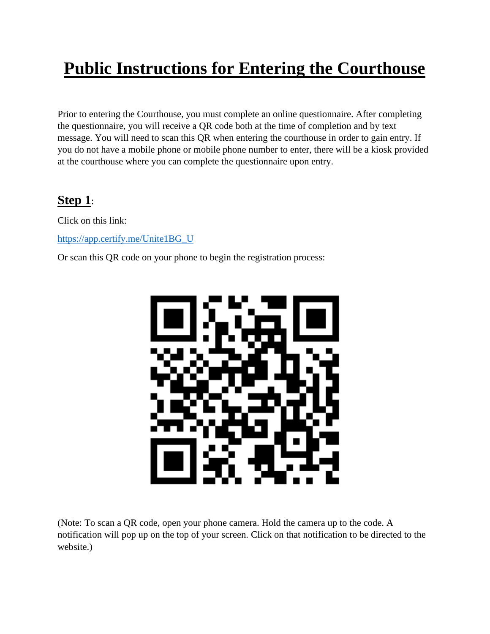# **Public Instructions for Entering the Courthouse**

Prior to entering the Courthouse, you must complete an online questionnaire. After completing the questionnaire, you will receive a QR code both at the time of completion and by text message. You will need to scan this QR when entering the courthouse in order to gain entry. If you do not have a mobile phone or mobile phone number to enter, there will be a kiosk provided at the courthouse where you can complete the questionnaire upon entry.

### **Step 1**:

Click on this link:

[https://app.certify.me/Unite1BG\\_U](https://app.certify.me/Unite1BG_U)

Or scan this QR code on your phone to begin the registration process:



(Note: To scan a QR code, open your phone camera. Hold the camera up to the code. A notification will pop up on the top of your screen. Click on that notification to be directed to the website.)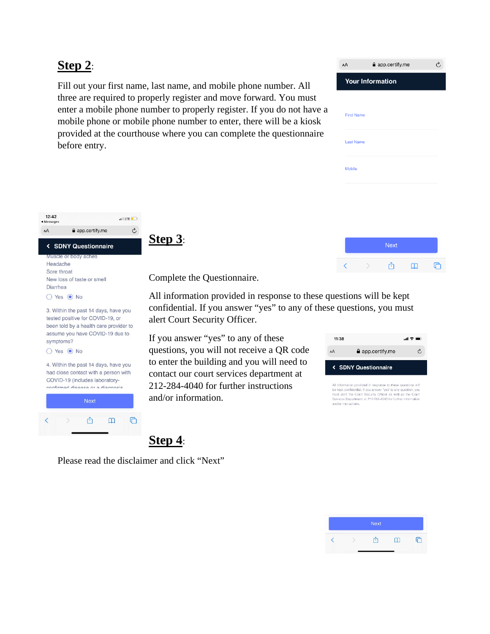#### **Step 2**:

Fill out your first name, last name, and mobile phone number. All three are required to properly register and move forward. You must enter a mobile phone number to properly register. If you do not have a mobile phone or mobile phone number to enter, there will be a kiosk provided at the courthouse where you can complete the questionnaire before entry.

| AA                      | app.certify.me |    | Ò |
|-------------------------|----------------|----|---|
| <b>Your Information</b> |                |    |   |
|                         |                |    |   |
| <b>First Name</b>       |                |    |   |
|                         |                |    |   |
| <b>Last Name</b>        |                |    |   |
| <b>Mobile</b>           |                |    |   |
|                         |                |    |   |
|                         |                |    |   |
|                         |                |    |   |
|                         |                |    |   |
|                         | <b>Next</b>    |    |   |
|                         |                | H. |   |



**Step 3**:

Complete the Questionnaire.

All information provided in response to these questions will be kept confidential. If you answer "yes" to any of these questions, you must alert Court Security Officer.

If you answer "yes" to any of these questions, you will not receive a QR code to enter the building and you will need to contact our court services department at 212-284-4040 for further instructions and/or information.

| 11:38                          |                | 加拿動 |  |  |
|--------------------------------|----------------|-----|--|--|
| AA                             | app.certify.me | Ç,  |  |  |
| <b>&lt; SDNY Questionnaire</b> |                |     |  |  |
|                                |                |     |  |  |

be kept confidential. If you answer 'yes" to any question, you must alert the Court Security Officer as well as the Court<br>Services Department at 212-284-4040 for further information and/or instructions.

Please read the disclaimer and click "Next"

**Step 4**: